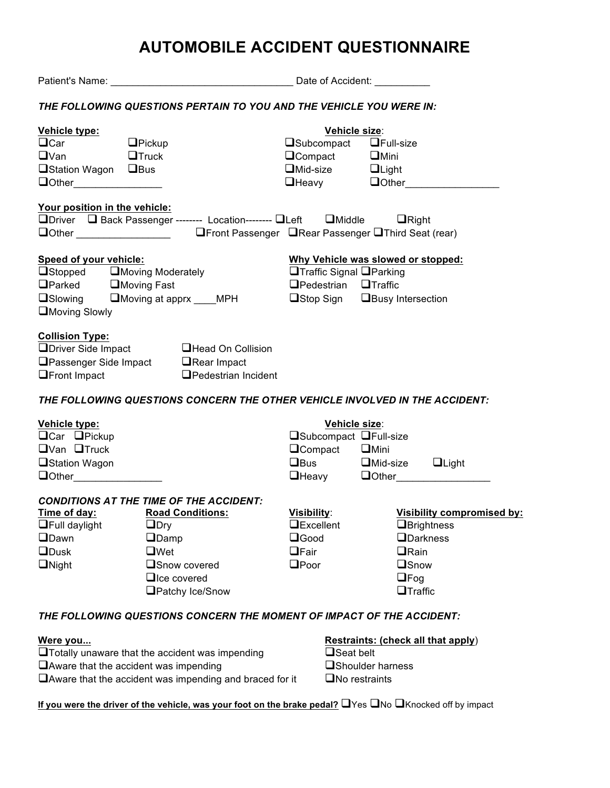# **AUTOMOBILE ACCIDENT QUESTIONNAIRE**

|                                                                                                                                        |                                                                                                                   | Date of Accident:                  |                                    |  |  |  |  |  |  |  |  |
|----------------------------------------------------------------------------------------------------------------------------------------|-------------------------------------------------------------------------------------------------------------------|------------------------------------|------------------------------------|--|--|--|--|--|--|--|--|
|                                                                                                                                        | THE FOLLOWING QUESTIONS PERTAIN TO YOU AND THE VEHICLE YOU WERE IN:                                               |                                    |                                    |  |  |  |  |  |  |  |  |
| Vehicle type:                                                                                                                          |                                                                                                                   |                                    | Vehicle size:                      |  |  |  |  |  |  |  |  |
| $\Box$ Car                                                                                                                             | $\Box$ Pickup                                                                                                     | $\Box$ Subcompact $\Box$ Full-size |                                    |  |  |  |  |  |  |  |  |
| $\square$ Van<br><b>Solution Contract Contract Contract Contract Contract Contract Contract Contract Contract Contract Contract Co</b> |                                                                                                                   | $\Box$ Compact $\Box$ Mini         |                                    |  |  |  |  |  |  |  |  |
| □Station Wagon □Bus                                                                                                                    |                                                                                                                   | $\Box$ Mid-size $\Box$ Light       |                                    |  |  |  |  |  |  |  |  |
|                                                                                                                                        |                                                                                                                   |                                    | $\Box$ Heavy $\Box$ Other          |  |  |  |  |  |  |  |  |
|                                                                                                                                        |                                                                                                                   |                                    |                                    |  |  |  |  |  |  |  |  |
| Your position in the vehicle:                                                                                                          |                                                                                                                   |                                    |                                    |  |  |  |  |  |  |  |  |
|                                                                                                                                        | □Driver □ Back Passenger -------- Location-------- □Left □Middle □ □Right                                         |                                    |                                    |  |  |  |  |  |  |  |  |
|                                                                                                                                        | □Other ________________________    □Front Passenger □Rear Passenger □Third Seat (rear)                            |                                    |                                    |  |  |  |  |  |  |  |  |
| <b>Speed of your vehicle:</b>                                                                                                          |                                                                                                                   |                                    | Why Vehicle was slowed or stopped: |  |  |  |  |  |  |  |  |
| $\Box$ Stopped $\Box$ Moving Moderately                                                                                                |                                                                                                                   |                                    | □Traffic Signal □Parking           |  |  |  |  |  |  |  |  |
| □Parked □Moving Fast                                                                                                                   |                                                                                                                   | $\Box$ Pedestrian $\Box$ Traffic   |                                    |  |  |  |  |  |  |  |  |
|                                                                                                                                        |                                                                                                                   |                                    |                                    |  |  |  |  |  |  |  |  |
|                                                                                                                                        | □Slowing □Moving at apprx ___MPH     □Stop Sign □Busy Intersection                                                |                                    |                                    |  |  |  |  |  |  |  |  |
| Moving Slowly                                                                                                                          |                                                                                                                   |                                    |                                    |  |  |  |  |  |  |  |  |
| <b>Collision Type:</b><br>$\Box$ Front Impact                                                                                          | $\Box$ Driver Side Impact $\Box$ Head On Collision<br>□Passenger Side Impact □Rear Impact<br>□Pedestrian Incident |                                    |                                    |  |  |  |  |  |  |  |  |
|                                                                                                                                        | THE FOLLOWING QUESTIONS CONCERN THE OTHER VEHICLE INVOLVED IN THE ACCIDENT:                                       |                                    |                                    |  |  |  |  |  |  |  |  |
| Vehicle type:                                                                                                                          |                                                                                                                   |                                    | Vehicle size:                      |  |  |  |  |  |  |  |  |
| $\Box$ Car $\Box$ Pickup                                                                                                               |                                                                                                                   | <b>□Subcompact □Full-size</b>      |                                    |  |  |  |  |  |  |  |  |
| $\Box$ Van $\Box$ Truck                                                                                                                |                                                                                                                   | □Compact □Mini                     |                                    |  |  |  |  |  |  |  |  |
|                                                                                                                                        |                                                                                                                   |                                    |                                    |  |  |  |  |  |  |  |  |
| <b>Station Wagon</b>                                                                                                                   |                                                                                                                   |                                    | □Bus □Mid-size □Light              |  |  |  |  |  |  |  |  |
| $\Box$ Other $\Box$                                                                                                                    |                                                                                                                   |                                    | <b>OHeavy</b> Oother               |  |  |  |  |  |  |  |  |
|                                                                                                                                        | CONDITIONS AT THE TIME OF THE ACCIDENT:                                                                           |                                    |                                    |  |  |  |  |  |  |  |  |
| Time of day: Road Conditions:                                                                                                          |                                                                                                                   | Visibility:                        | Visibility compromised by:         |  |  |  |  |  |  |  |  |
| <b>On Full daylight</b> DDry                                                                                                           |                                                                                                                   | $\Box$ Excellent                   | <b>Brightness</b>                  |  |  |  |  |  |  |  |  |
| <b>ODawn</b>                                                                                                                           | $\Box$ Damp                                                                                                       | $\square$ Good                     | <b>O</b> Darkness                  |  |  |  |  |  |  |  |  |
| <b>ODusk</b>                                                                                                                           | $\Box$ Wet                                                                                                        | $\Box$ Fair                        | $\Box$ Rain                        |  |  |  |  |  |  |  |  |
| $\Box$ Night                                                                                                                           | □Snow covered                                                                                                     | $\Box$ Poor                        | <b>O</b> Snow                      |  |  |  |  |  |  |  |  |
|                                                                                                                                        | $\Box$ Ice covered                                                                                                |                                    | $\Box$ Fog                         |  |  |  |  |  |  |  |  |
|                                                                                                                                        | Patchy Ice/Snow                                                                                                   |                                    | $\Box$ Traffic                     |  |  |  |  |  |  |  |  |
|                                                                                                                                        | THE FOLLOWING QUESTIONS CONCERN THE MOMENT OF IMPACT OF THE ACCIDENT:                                             |                                    |                                    |  |  |  |  |  |  |  |  |
| <u>Were you</u>                                                                                                                        |                                                                                                                   |                                    | Restraints: (check all that apply) |  |  |  |  |  |  |  |  |
|                                                                                                                                        | $\Box$ Totally unaware that the accident was impending                                                            | $\Box$ Seat belt                   |                                    |  |  |  |  |  |  |  |  |
| Aware that the accident was impending                                                                                                  |                                                                                                                   | □Shoulder harness                  |                                    |  |  |  |  |  |  |  |  |
|                                                                                                                                        |                                                                                                                   |                                    |                                    |  |  |  |  |  |  |  |  |

If you were the driver of the vehicle, was your foot on the brake pedal? **The State Brand State of all product** 

 $\Box$  Aware that the accident was impending and braced for it  $\Box$  No restraints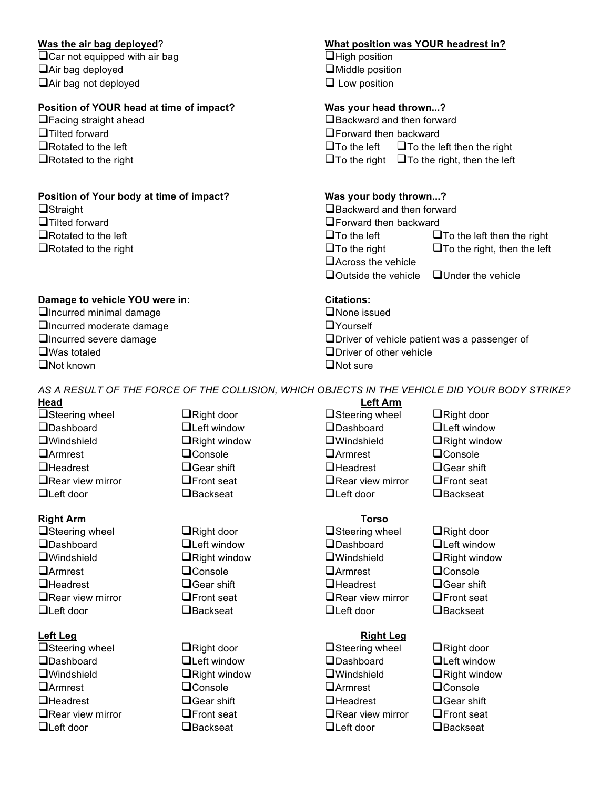$\Box$ Car not equipped with air bag  $\Box$ High position !Air bag deployed !Middle position  $\Box$  Air bag not deployed  $\Box$  Low position

### **Position of YOUR head at time of impact? Was your head thrown...?**

## **Position of Your body at time of impact?** Was your body thrown...?

- 
- 

### **Damage to vehicle YOU were in:** Citations:

 $\Box$ Incurred minimal damage  $\Box$ Incurred minimal damage □ Incurred moderate damage interval and DY ourself ■ Was totaled **I** Driver of other vehicle and the UN of the vehicle and the UN of structure and UN of sure and UN of sure and UN of sure and UN of sure and UN of sure and UN of sure and UN of sure and UN of sure and UN of  $\Box$ Not known

### **Was the air bag deployed**? **What position was YOUR headrest in?**

 $\Box$  Facing straight ahead  $\Box$  Backward and then forward **□Tilted forward 2 Example 2 Example 2 Forward then backward**  $\Box$ Rotated to the left  $\Box$ To the left  $\Box$ To the left then the right  $\Box$  Rotated to the right  $\Box$  To the right  $\Box$  To the right, then the left

**Example 2** Straight **1988 CONFIDENTIAL CONTRACT CONTRACT AND RESIDENT ATTACTMENT CONTRACT AND RESIDENT ACCOUNT CONTRACT AND RESIDENT ACCOUNT ACCOUNT ACCOUNT ACCOUNT ACCOUNT ACCOUNT ACCOUNT ACCOUNT ACCOUNT ACCOUNT ACCOUN □**Tilted forward **backward the struck of the struck of the Struck of Texas in Texas in Texas in Texas in Texas in Texas in Texas in Texas in Texas in Texas in Texas in Texas in Texas in Texas in Texas in Texas in Texas i**  $\Box$ Rotated to the left  $\Box$ To the left  $\Box$ To the left then the right  $\Box$ Rotated to the right  $\Box$ To the right  $\Box$ To the right  $\Box$ To the right, then the left  $\Box$  Across the vehicle  $\Box$  Outside the vehicle  $\Box$  Under the vehicle

 $\Box$ Incurred severe damage  $\Box$   $\Box$ Driver of vehicle patient was a passenger of

*AS A RESULT OF THE FORCE OF THE COLLISION, WHICH OBJECTS IN THE VEHICLE DID YOUR BODY STRIKE?*

# **Right Arm Torso**

!Steering wheel !Right door !Steering wheel !Right door **OLeft door Example 2 C** Backseat **C** Left door **C** Backseat

!Steering wheel !Right door !Steering wheel !Right door **OLeft door Example 2 C** Backseat **C** Left door **C** Backseat

- 
- 
- 
- **Head Left Arm** □ **I** Steering wheel **I** Right door **I** alsteering wheel I Right door !Dashboard !Left window !Dashboard !Left window **I** Windshield **EXECUTE:**  $\blacksquare$  **Right window**  $\blacksquare$  Windshield  $\blacksquare$  Right window !Armrest !Console !Armrest !Console **QHeadrest** 2 **CHEAD CONFIDUATE:** 2 **CHEAD CHEAD CHEAD CHEAD CHEAD CHEAD CHEAD CHEAD CHEAD CHEAD CHEAD CHEAD CHEAD CHEAD CHEAD CHEAD CHEAD CHEAD CHEAD CHEAD CHEAD CHEAD CHEAD**  $\Box$ Rear view mirror  $\Box$ Front seat  $\Box$ Rear view mirror  $\Box$ Front seat **OLeft door Example 2 C** Backseat **C** Left door **C** Backseat
	-

!Dashboard !Left window !Dashboard !Left window **I** Windshield **EXECUTE:**  $\blacksquare$  **Right window**  $\blacksquare$  Windshield  $\blacksquare$  Right window !Armrest !Console !Armrest !Console **QHeadrest** 2 **CHEAD CONFIDUATE:** 2 **CHEAD CHEAD CHEAD CHEAD CHEAD CHEAD CHEAD CHEAD CHEAD CHEAD CHEAD CHEAD CHEAD CHEAD CHEAD CHEAD CHEAD CHEAD CHEAD CHEAD CHEAD CHEAD CHEAD**  $\Box$ Rear view mirror  $\Box$ Front seat  $\Box$ Rear view mirror  $\Box$ Front seat

### **Left Leg Right Leg**

- **IDashboard ... ILeft window ... IDashboard ... ILeft window ... ILEFT WINDOW I** Windshield **EXECUTE:**  $\blacksquare$  **Right window**  $\blacksquare$  Windshield  $\blacksquare$  Right window !Armrest !Console !Armrest !Console  $\Box$ Headrest  $\Box$ Gear shift  $\Box$ Headrest  $\Box$ Gear shift  $\Box$ Rear view mirror  $\qquad \qquad \Box$ Front seat  $\qquad \qquad \Box$ Rear view mirror  $\qquad \Box$ Front seat
-